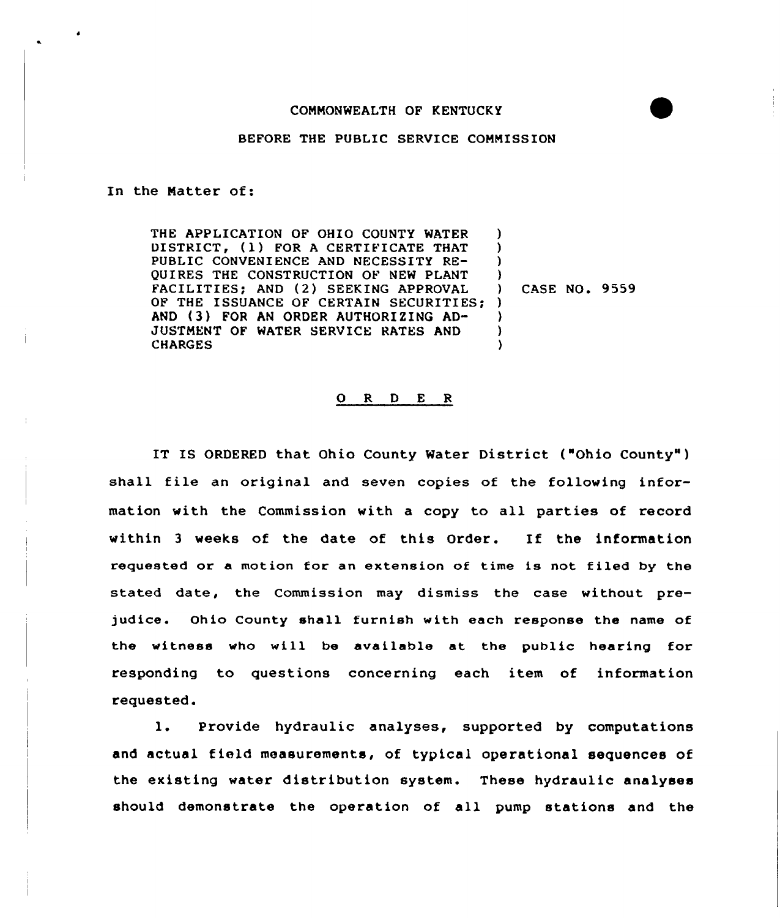## BEFORE THE PUBLIC SERVICE COMMISSION

In the Natter of:

THE APPLICATION OF OHIO COUNTY WATER DISTRICT, (1) FOR A CERTIFICATE THAT PUBLIC CONVENIENCE AND NECESSITY RE-QUIRES THE CONSTRUCTION OF NEW PLANT FACILITIES; AND (2) SEEKING APPROVAL OF THE ISSUANCE OF CERTAIN SECURITIES; ) AND (3) FOR AN ORDER AUTHORIZING AD-JUSTMENT OF WATER SERVICE RATES AND CHARGES ) ) ) ) ) CASE NO. 9559 ) ) )

## ORDER

IT IS ORDERED that Ohio County Water District ("Ohio County" ) shall file an original and seven copies of the following information with the Commission with a copy to all parties of record within <sup>3</sup> weeks of the date of this Order. If the information requested or a motion for an extension of time is not filed by the stated date, the Commission may dismiss the case without prejudice. Ohio County shall furnish with each response the name of the witness who will be available at the public hearing for responding to questions concerning each item of information requested.

1. Provide hydraulic analyses, supported by computations and actual field measurements, of typical operational sequences of the existing water distribution system. These hydraulic analyses should demonstrate the operation of all pump stations and the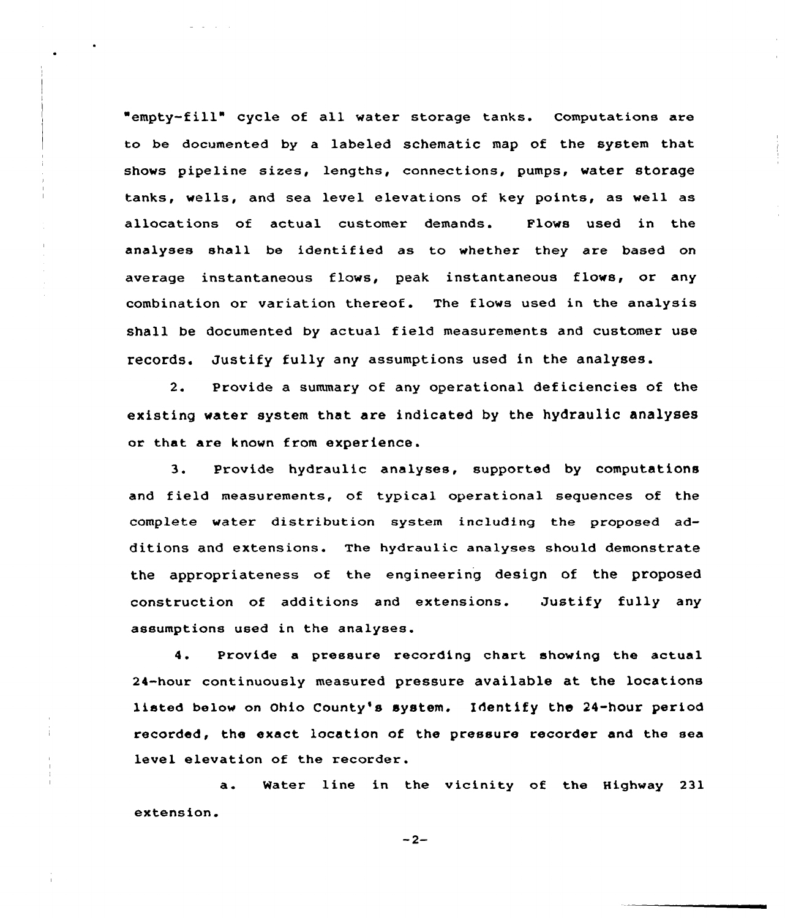empty-fill" cycle of all water storage tanks. Computations are to be documented by a labeled schematic map of the system that shows pipeline sizes, lengths, connections, pumps, water storage tanks, wells, and sea level elevations of key points, as well as allocations of actual customer demands. Flows used in the analyses shall be identified as to whether they are based on average instantaneous flows, peak instantaneous flows, or any combination or variation thereof. The flows used in the analysis shall be documented by actual field measurements and customer use records. Justify fully any assumptions used in the analyses.

2. Provide a summary of any operational deficiencies of the existing water system that are indicated by the hydraulic analyses or that are known from experience

3. Provide hydraulic analyses, supported by computations and field measurements, of typical operational sequences of the complete water distribution system including the proposed additions and extensions. The hydraulic analyses should demonstrate the appropriateness of the engineering design of the proposed construction of additions and extensions. Justify fully any assumptions used in the analyses.

4. Provide a pressure recording chart showing the actual 24-hour continuously measured pressure available at the locations listed below on Ohio County's system. Identify the 24-hour period recorded, the exact location of the pressure recorder and the sea level elevation of the recorder.

a. Water line in the vicinity of the Highway 231 extension.

 $-2-$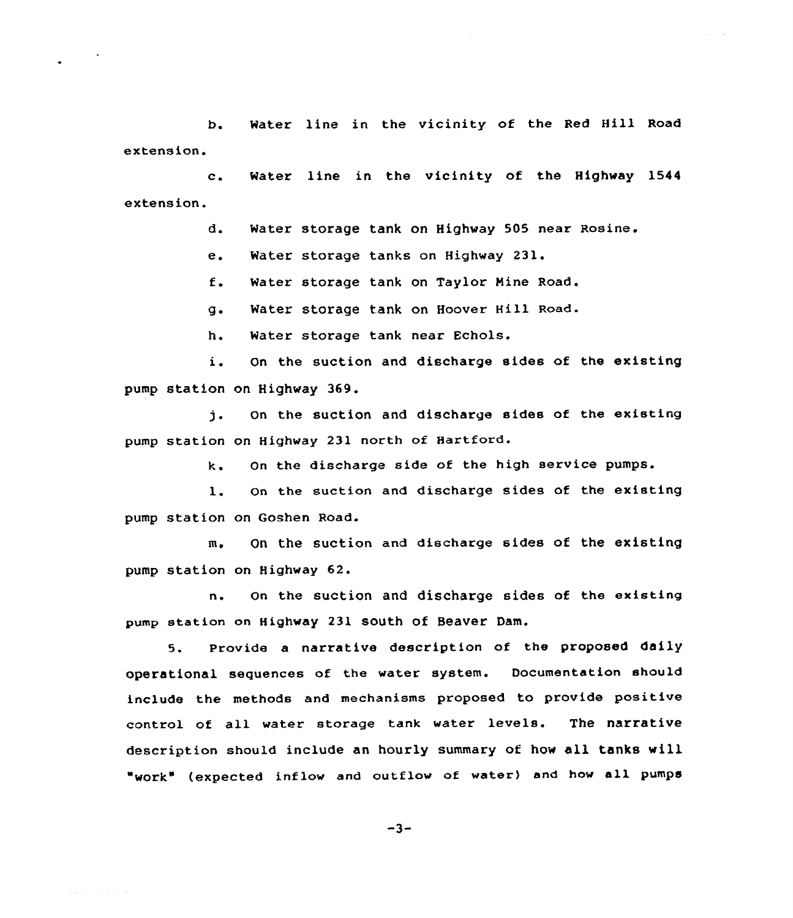extension. b. Water line in the vicinity of the Red Hill Road

c. Water line in the vicinity of the Highway <sup>1544</sup> extension.

d. Water storage tank on Highway 505 near Rosine.

e. Water storage tanks on Highway 231.

f. Mater storage tank on Taylor Nine Road.

g. Water storage tank on Hoover Hill Road.

h. Water storage tank near Echols.

i. On the suction and discharge sides of the existing pump station on Highway 369.

j. On the suction and discharge sides of the existing pump station on Highway 231 north of Hartford.

k. On the discharge side of the high service pumps.

1. On the suction and discharge sides of the existing pump station on Goshen Road.

m. On the suction and discharge sides of the existing pump station on Highway 62.

n. On the suction and discharge sides of the existing pump station on Highway 231 south of Beaver Dam.

5. Provide a narrative description of the proposed daily operational sequences of the water system. Documentation should include the methods and mechanisms proposed to provide positive control of all water storage tank water levels. The narrative descripticn should include an hourly summary of how all tanks will "work" (expected inflow and outflow of water) and how all pumpS

 $-3-$ 

and a company of the